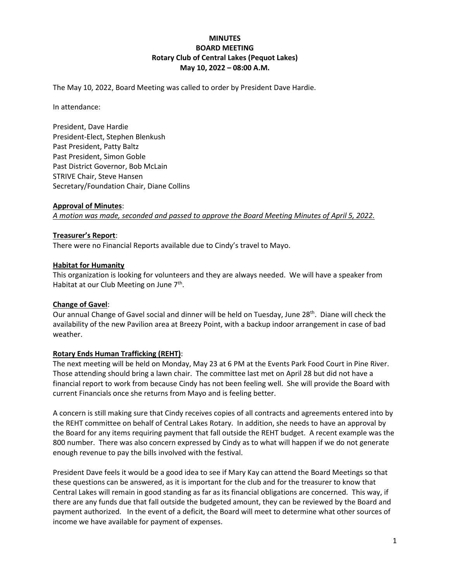# **MINUTES BOARD MEETING Rotary Club of Central Lakes (Pequot Lakes) May 10, 2022 – 08:00 A.M.**

The May 10, 2022, Board Meeting was called to order by President Dave Hardie.

In attendance:

President, Dave Hardie President-Elect, Stephen Blenkush Past President, Patty Baltz Past President, Simon Goble Past District Governor, Bob McLain STRIVE Chair, Steve Hansen Secretary/Foundation Chair, Diane Collins

### **Approval of Minutes**:

*A motion was made, seconded and passed to approve the Board Meeting Minutes of April 5, 2022.*

### **Treasurer's Report**:

There were no Financial Reports available due to Cindy's travel to Mayo.

### **Habitat for Humanity**

This organization is looking for volunteers and they are always needed. We will have a speaker from Habitat at our Club Meeting on June 7<sup>th</sup>.

#### **Change of Gavel**:

Our annual Change of Gavel social and dinner will be held on Tuesday, June 28<sup>th</sup>. Diane will check the availability of the new Pavilion area at Breezy Point, with a backup indoor arrangement in case of bad weather.

# **Rotary Ends Human Trafficking (REHT)**:

The next meeting will be held on Monday, May 23 at 6 PM at the Events Park Food Court in Pine River. Those attending should bring a lawn chair. The committee last met on April 28 but did not have a financial report to work from because Cindy has not been feeling well. She will provide the Board with current Financials once she returns from Mayo and is feeling better.

A concern is still making sure that Cindy receives copies of all contracts and agreements entered into by the REHT committee on behalf of Central Lakes Rotary. In addition, she needs to have an approval by the Board for any items requiring payment that fall outside the REHT budget. A recent example was the 800 number. There was also concern expressed by Cindy as to what will happen if we do not generate enough revenue to pay the bills involved with the festival.

President Dave feels it would be a good idea to see if Mary Kay can attend the Board Meetings so that these questions can be answered, as it is important for the club and for the treasurer to know that Central Lakes will remain in good standing as far as its financial obligations are concerned. This way, if there are any funds due that fall outside the budgeted amount, they can be reviewed by the Board and payment authorized. In the event of a deficit, the Board will meet to determine what other sources of income we have available for payment of expenses.